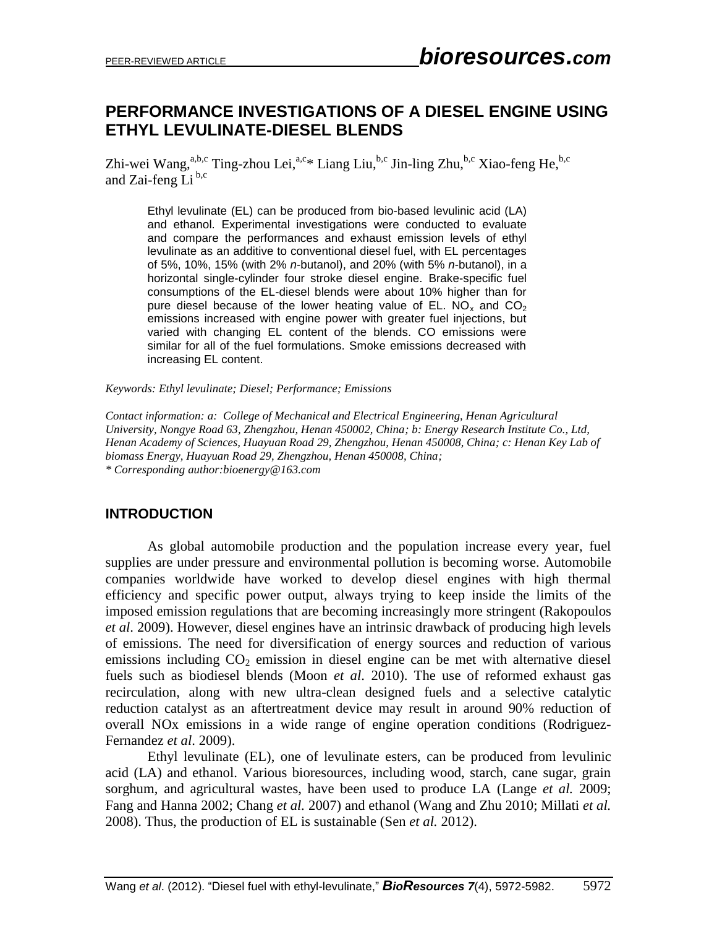# **PERFORMANCE INVESTIGATIONS OF A DIESEL ENGINE USING ETHYL LEVULINATE-DIESEL BLENDS**

Zhi-wei Wang,<sup>a,b,c</sup> Ting-zhou Lei,<sup>a,c</sup>\* Liang Liu,<sup>b,c</sup> Jin-ling Zhu,<sup>b,c</sup> Xiao-feng He,<sup>b,c</sup> and Zai-feng Li<sup>b,c</sup>

Ethyl levulinate (EL) can be produced from bio-based levulinic acid (LA) and ethanol. Experimental investigations were conducted to evaluate and compare the performances and exhaust emission levels of ethyl levulinate as an additive to conventional diesel fuel, with EL percentages of 5%, 10%, 15% (with 2% *n*-butanol), and 20% (with 5% *n*-butanol), in a horizontal single-cylinder four stroke diesel engine. Brake-specific fuel consumptions of the EL-diesel blends were about 10% higher than for pure diesel because of the lower heating value of EL.  $NO_x$  and  $CO_2$ emissions increased with engine power with greater fuel injections, but varied with changing EL content of the blends. CO emissions were similar for all of the fuel formulations. Smoke emissions decreased with increasing EL content.

*Keywords: Ethyl levulinate; Diesel; Performance; Emissions*

*Contact information: a: College of Mechanical and Electrical Engineering, Henan Agricultural University, Nongye Road 63, Zhengzhou, Henan 450002, China; b: Energy Research Institute Co., Ltd, Henan Academy of Sciences, Huayuan Road 29, Zhengzhou, Henan 450008, China; c: Henan Key Lab of biomass Energy, Huayuan Road 29, Zhengzhou, Henan 450008, China; \* Corresponding author[:bioenergy@163.com](mailto:bioenergy@163.com)*

### **INTRODUCTION**

As global automobile production and the population increase every year, fuel supplies are under pressure and environmental pollution is becoming worse. Automobile companies worldwide have worked to develop diesel engines with high thermal efficiency and specific power output, always trying to keep inside the limits of the imposed emission regulations that are becoming increasingly more stringent (Rakopoulos *et al*. 2009). However, diesel engines have an intrinsic drawback of producing high levels of emissions. The need for diversification of energy sources and reduction of various emissions including  $CO<sub>2</sub>$  emission in diesel engine can be met with alternative diesel fuels such as biodiesel blends (Moon *et al*. 2010). The use of reformed exhaust gas recirculation, along with new ultra-clean designed fuels and a selective catalytic reduction catalyst as an aftertreatment device may result in around 90% reduction of overall NOx emissions in a wide range of engine operation conditions (Rodriguez-Fernandez *et al*. 2009).

Ethyl levulinate (EL), one of levulinate esters, can be produced from levulinic acid (LA) and ethanol. Various bioresources, including wood, starch, cane sugar, grain sorghum, and agricultural wastes, have been used to produce LA (Lange *et al.* 2009; Fang and Hanna 2002; Chang *et al.* 2007) and ethanol (Wang and Zhu 2010; Millati *et al.* 2008). Thus, the production of EL is sustainable (Sen *et al.* 2012).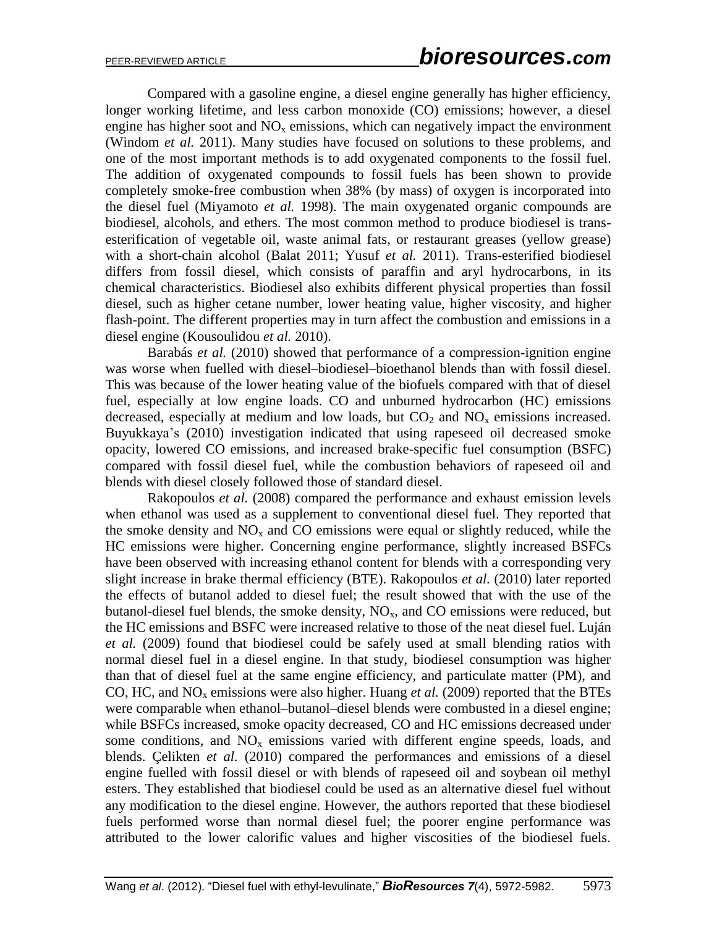Compared with a gasoline engine, a diesel engine generally has higher efficiency, longer working lifetime, and less carbon monoxide (CO) emissions; however, a diesel engine has higher soot and  $NO<sub>x</sub>$  emissions, which can negatively impact the environment (Windom *et al.* 2011). Many studies have focused on solutions to these problems, and one of the most important methods is to add oxygenated components to the fossil fuel. The addition of oxygenated compounds to fossil fuels has been shown to provide completely smoke-free combustion when 38% (by mass) of oxygen is incorporated into the diesel fuel (Miyamoto *et al.* 1998). The main oxygenated organic compounds are biodiesel, alcohols, and ethers. The most common method to produce biodiesel is transesterification of vegetable oil, waste animal fats, or restaurant greases (yellow grease) with a short-chain alcohol (Balat 2011; Yusuf *et al.* 2011). Trans-esterified biodiesel differs from fossil diesel, which consists of paraffin and aryl hydrocarbons, in its chemical characteristics. Biodiesel also exhibits different physical properties than fossil diesel, such as higher cetane number, lower heating value, higher viscosity, and higher flash-point. The different properties may in turn affect the combustion and emissions in a diesel engine (Kousoulidou *et al.* 2010).

Barabás *et al.* (2010) showed that performance of a compression-ignition engine was worse when fuelled with diesel–biodiesel–bioethanol blends than with fossil diesel. This was because of the lower heating value of the biofuels compared with that of diesel fuel, especially at low engine loads. CO and unburned hydrocarbon (HC) emissions decreased, especially at medium and low loads, but  $CO<sub>2</sub>$  and  $NO<sub>x</sub>$  emissions increased. Buyukkaya's (2010) investigation indicated that using rapeseed oil decreased smoke opacity, lowered CO emissions, and increased brake-specific fuel consumption (BSFC) compared with fossil diesel fuel, while the combustion behaviors of rapeseed oil and blends with diesel closely followed those of standard diesel.

Rakopoulos *et al.* (2008) compared the performance and exhaust emission levels when ethanol was used as a supplement to conventional diesel fuel. They reported that the smoke density and  $NO<sub>x</sub>$  and CO emissions were equal or slightly reduced, while the HC emissions were higher. Concerning engine performance, slightly increased BSFCs have been observed with increasing ethanol content for blends with a corresponding very slight increase in brake thermal efficiency (BTE). Rakopoulos *et al.* (2010) later reported the effects of butanol added to diesel fuel; the result showed that with the use of the butanol-diesel fuel blends, the smoke density,  $NO<sub>x</sub>$ , and CO emissions were reduced, but the HC emissions and BSFC were increased relative to those of the neat diesel fuel. Luján *et al.* (2009) found that biodiesel could be safely used at small blending ratios with normal diesel fuel in a diesel engine. In that study, biodiesel consumption was higher than that of diesel fuel at the same engine efficiency, and particulate matter (PM), and CO, HC, and  $NO<sub>x</sub>$  emissions were also higher. Huang *et al.* (2009) reported that the BTEs were comparable when ethanol–butanol–diesel blends were combusted in a diesel engine; while BSFCs increased, smoke opacity decreased, CO and HC emissions decreased under some conditions, and  $NO<sub>x</sub>$  emissions varied with different engine speeds, loads, and blends. Çelikten *et al.* (2010) compared the performances and emissions of a diesel engine fuelled with fossil diesel or with blends of rapeseed oil and soybean oil methyl esters. They established that biodiesel could be used as an alternative diesel fuel without any modification to the diesel engine. However, the authors reported that these biodiesel fuels performed worse than normal diesel fuel; the poorer engine performance was attributed to the lower calorific values and higher viscosities of the biodiesel fuels.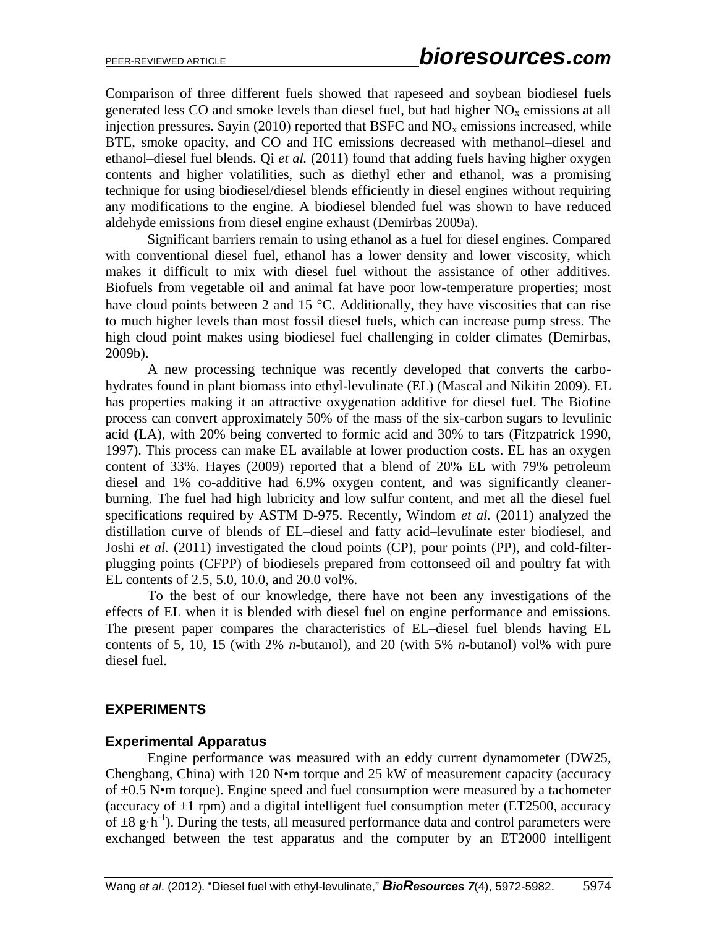Comparison of three different fuels showed that rapeseed and soybean biodiesel fuels generated less CO and smoke levels than diesel fuel, but had higher  $NO<sub>x</sub>$  emissions at all injection pressures. Sayin (2010) reported that BSFC and  $NO<sub>x</sub>$  emissions increased, while BTE, smoke opacity, and CO and HC emissions decreased with methanol–diesel and ethanol–diesel fuel blends. Qi *et al.* (2011) found that adding fuels having higher oxygen contents and higher volatilities, such as diethyl ether and ethanol, was a promising technique for using biodiesel/diesel blends efficiently in diesel engines without requiring any modifications to the engine. A biodiesel blended fuel was shown to have reduced aldehyde emissions from diesel engine exhaust (Demirbas 2009a).

Significant barriers remain to using ethanol as a fuel for diesel engines. Compared with conventional diesel fuel, ethanol has a lower density and lower viscosity, which makes it difficult to mix with diesel fuel without the assistance of other additives. Biofuels from vegetable oil and animal fat have poor low-temperature properties; most have cloud points between 2 and 15  $\degree$ C. Additionally, they have viscosities that can rise to much higher levels than most fossil diesel fuels, which can increase pump stress. The high cloud point makes using biodiesel fuel challenging in colder climates (Demirbas, 2009b).

A new processing technique was recently developed that converts the carbohydrates found in plant biomass into ethyl-levulinate (EL) (Mascal and Nikitin 2009). EL has properties making it an attractive oxygenation additive for diesel fuel. The Biofine process can convert approximately 50% of the mass of the six-carbon sugars to levulinic acid **(**LA), with 20% being converted to formic acid and 30% to tars (Fitzpatrick 1990, 1997). This process can make EL available at lower production costs. EL has an oxygen content of 33%. Hayes (2009) reported that a blend of 20% EL with 79% petroleum diesel and 1% co-additive had 6.9% oxygen content, and was significantly cleanerburning. The fuel had high lubricity and low sulfur content, and met all the diesel fuel specifications required by ASTM D-975. Recently, Windom *et al.* (2011) analyzed the distillation curve of blends of EL–diesel and fatty acid–levulinate ester biodiesel, and Joshi *et al.* (2011) investigated the cloud points (CP), pour points (PP), and cold-filterplugging points (CFPP) of biodiesels prepared from cottonseed oil and poultry fat with EL contents of 2.5, 5.0, 10.0, and 20.0 vol%.

To the best of our knowledge, there have not been any investigations of the effects of EL when it is blended with diesel fuel on engine performance and emissions. The present paper compares the characteristics of EL–diesel fuel blends having EL contents of 5, 10, 15 (with 2% *n*-butanol), and 20 (with 5% *n*-butanol) vol% with pure diesel fuel.

### **EXPERIMENTS**

### **Experimental Apparatus**

Engine performance was measured with an eddy current dynamometer (DW25, Chengbang, China) with 120 N•m torque and 25 kW of measurement capacity (accuracy of  $\pm 0.5$  N•m torque). Engine speed and fuel consumption were measured by a tachometer (accuracy of  $\pm 1$  rpm) and a digital intelligent fuel consumption meter (ET2500, accuracy of  $\pm 8$  g·h<sup>-1</sup>). During the tests, all measured performance data and control parameters were exchanged between the test apparatus and the computer by an ET2000 intelligent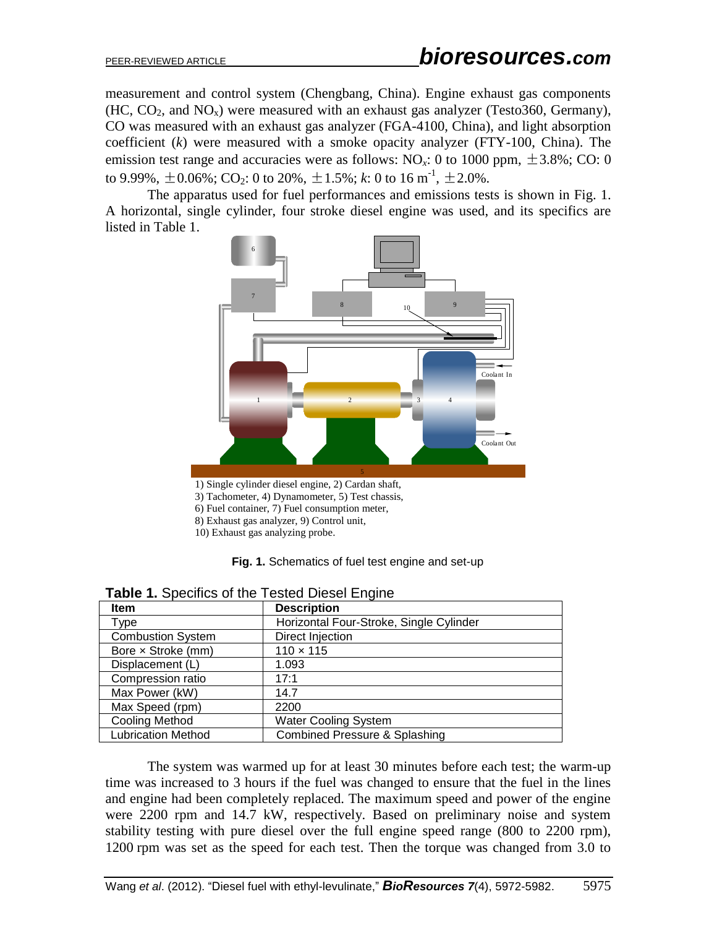measurement and control system (Chengbang, China). Engine exhaust gas components  $(HC, CO<sub>2</sub>, and NO<sub>x</sub>)$  were measured with an exhaust gas analyzer (Testo360, Germany), CO was measured with an exhaust gas analyzer (FGA-4100, China), and light absorption coefficient (*k*) were measured with a smoke opacity analyzer (FTY-100, China). The emission test range and accuracies were as follows:  $NO<sub>x</sub>$ : 0 to 1000 ppm,  $\pm$ 3.8%; CO: 0 to 9.99%,  $\pm$  0.06%; CO<sub>2</sub>: 0 to 20%,  $\pm$  1.5%; *k*: 0 to 16  $\mathrm{m}^{\text{-}1}$ ,  $\pm$  2.0%.

The apparatus used for fuel performances and emissions tests is shown in Fig. 1. A horizontal, single cylinder, four stroke diesel engine was used, and its specifics are listed in Table 1.



- 6) Fuel container, 7) Fuel consumption meter,
- 8) Exhaust gas analyzer, 9) Control unit,
- 10) Exhaust gas analyzing probe.



| <b>Item</b>               | <b>Description</b>                       |  |  |  |  |
|---------------------------|------------------------------------------|--|--|--|--|
| Type                      | Horizontal Four-Stroke, Single Cylinder  |  |  |  |  |
| <b>Combustion System</b>  | Direct Injection                         |  |  |  |  |
| Bore x Stroke (mm)        | $110 \times 115$                         |  |  |  |  |
| Displacement (L)          | 1.093                                    |  |  |  |  |
| Compression ratio         | 17:1                                     |  |  |  |  |
| Max Power (kW)            | 14.7                                     |  |  |  |  |
| Max Speed (rpm)           | 2200                                     |  |  |  |  |
| <b>Cooling Method</b>     | <b>Water Cooling System</b>              |  |  |  |  |
| <b>Lubrication Method</b> | <b>Combined Pressure &amp; Splashing</b> |  |  |  |  |

**Table 1.** Specifics of the Tested Diesel Engine

The system was warmed up for at least 30 minutes before each test; the warm-up time was increased to 3 hours if the fuel was changed to ensure that the fuel in the lines and engine had been completely replaced. The maximum speed and power of the engine were 2200 rpm and 14.7 kW, respectively. Based on preliminary noise and system stability testing with pure diesel over the full engine speed range (800 to 2200 rpm), 1200 rpm was set as the speed for each test. Then the torque was changed from 3.0 to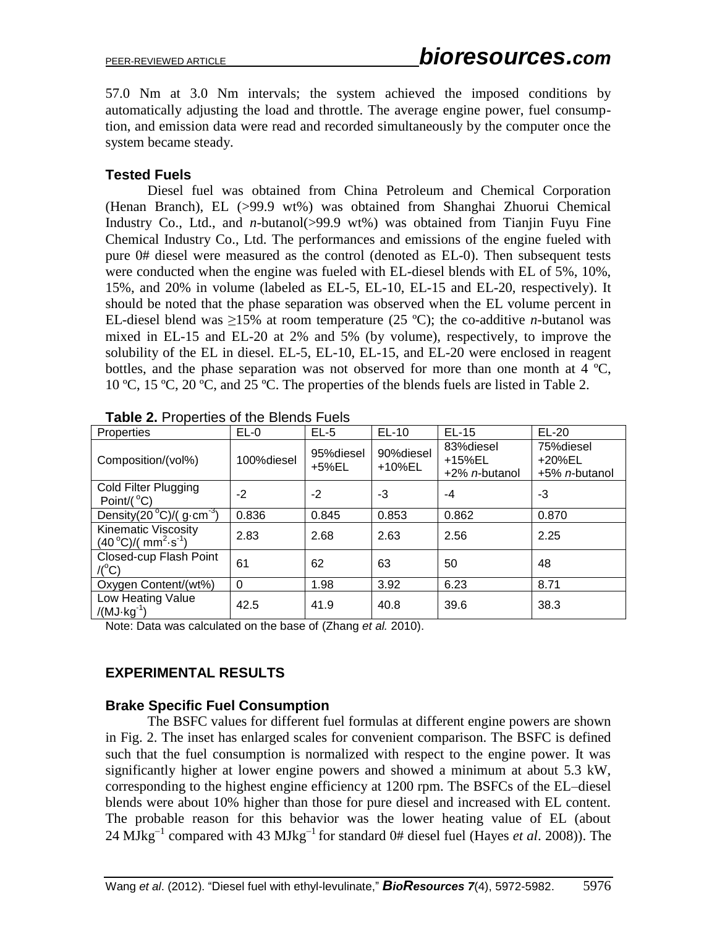57.0 Nm at 3.0 Nm intervals; the system achieved the imposed conditions by automatically adjusting the load and throttle. The average engine power, fuel consumption, and emission data were read and recorded simultaneously by the computer once the system became steady.

### **Tested Fuels**

Diesel fuel was obtained from China Petroleum and Chemical Corporation (Henan Branch), EL (>99.9 wt%) was obtained from Shanghai Zhuorui Chemical Industry Co., Ltd., and *n*-butanol(>99.9 wt%) was obtained from Tianjin Fuyu Fine Chemical Industry Co., Ltd. The performances and emissions of the engine fueled with pure 0# diesel were measured as the control (denoted as EL-0). Then subsequent tests were conducted when the engine was fueled with EL-diesel blends with EL of 5%, 10%, 15%, and 20% in volume (labeled as EL-5, EL-10, EL-15 and EL-20, respectively). It should be noted that the phase separation was observed when the EL volume percent in EL-diesel blend was  $\geq$ 15% at room temperature (25 °C); the co-additive *n*-butanol was mixed in EL-15 and EL-20 at 2% and 5% (by volume), respectively, to improve the solubility of the EL in diesel. EL-5, EL-10, EL-15, and EL-20 were enclosed in reagent [bottles](http://dict.cn/reagent%20bottle), and the phase separation was not observed for more than one month at  $4 \text{ }^{\circ}\text{C}$ , 10 ºC, 15 ºC, 20 ºC, and 25 ºC. The properties of the blends fuels are listed in Table 2.

| Properties                                             | $EL-0$     | $EL-5$             | EL-10               | $EL-15$                                       | $EL-20$                                      |
|--------------------------------------------------------|------------|--------------------|---------------------|-----------------------------------------------|----------------------------------------------|
| Composition/(vol%)                                     | 100%diesel | 95%diesel<br>+5%EL | 90%diesel<br>+10%EL | 83% diesel<br>+15%EL<br>+2% <i>n</i> -butanol | 75%diesel<br>+20%EL<br>+5% <i>n</i> -butanol |
| Cold Filter Plugging<br>Point/ $(^{\circ}C)$           | $-2$       | $-2$               | -3                  | -4                                            | -3                                           |
| Density $(20^{\circ}C)/(g \cdot cm^{-3})$              | 0.836      | 0.845              | 0.853               | 0.862                                         | 0.870                                        |
| Kinematic Viscosity<br>$(40^{\circ}C)/(mm^{2} s^{-1})$ | 2.83       | 2.68               | 2.63                | 2.56                                          | 2.25                                         |
| Closed-cup Flash Point<br>$/(^{\circ}C)$               | 61         | 62                 | 63                  | 50                                            | 48                                           |
| Oxygen Content/(wt%)                                   | $\Omega$   | 1.98               | 3.92                | 6.23                                          | 8.71                                         |
| Low Heating Value<br>$/(MJ·kg-1)$                      | 42.5       | 41.9               | 40.8                | 39.6                                          | 38.3                                         |

**Table 2.** Properties of the Blends Fuels

Note: Data was calculated on the base of (Zhang *et al.* 2010).

# **EXPERIMENTAL RESULTS**

### **Brake Specific Fuel Consumption**

The BSFC values for different fuel formulas at different engine powers are shown in Fig. 2. The inset has enlarged scales for convenient comparison. The BSFC is defined such that the fuel consumption is normalized with respect to the engine power. It was significantly higher at lower engine powers and showed a minimum at about 5.3 kW, corresponding to the highest engine efficiency at 1200 rpm. The BSFCs of the EL–diesel blends were about 10% higher than those for pure diesel and increased with EL content. The probable reason for this behavior was the lower heating value of EL (about 24 MJkg<sup>-1</sup> compared with 43 MJkg<sup>-1</sup> for standard 0# diesel fuel (Hayes *et al.* 2008)). The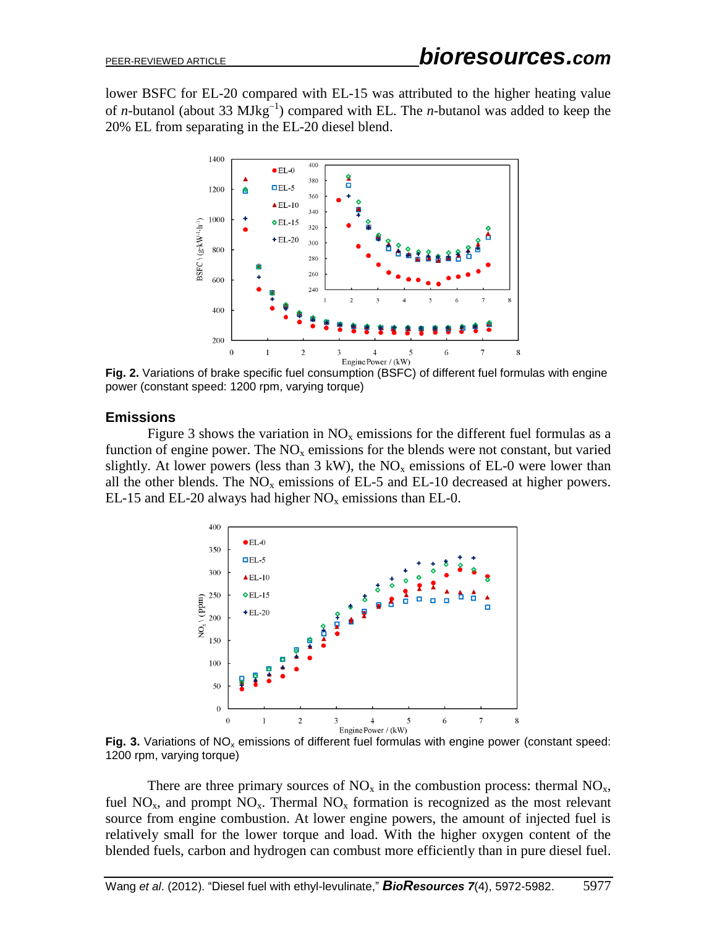lower BSFC for EL-20 compared with EL-15 was attributed to the higher heating value of *n*-butanol (about 33  $MJkg^{-1}$ ) compared with EL. The *n*-butanol was added to keep the 20% EL from separating in the EL-20 diesel blend.



**Fig. 2.** Variations of brake specific fuel consumption (BSFC) of different fuel formulas with engine power (constant speed: 1200 rpm, varying torque)

### **Emissions**

Figure 3 shows the variation in  $NO<sub>x</sub>$  emissions for the different fuel formulas as a function of engine power. The  $NO<sub>x</sub>$  emissions for the blends were not constant, but varied slightly. At lower powers (less than  $3 \text{ kW}$ ), the NO<sub>x</sub> emissions of EL-0 were lower than all the other blends. The  $NO<sub>x</sub>$  emissions of EL-5 and EL-10 decreased at higher powers. EL-15 and EL-20 always had higher  $NO<sub>x</sub>$  emissions than EL-0.



Fig. 3. Variations of NO<sub>x</sub> emissions of different fuel formulas with engine power (constant speed: 1200 rpm, varying torque)

There are three primary sources of  $NO<sub>x</sub>$  in the combustion process: thermal  $NO<sub>x</sub>$ , fuel NO<sub>x</sub>, and prompt NO<sub>x</sub>. Thermal NO<sub>x</sub> formation is recognized as the most relevant source from engine combustion. At lower engine powers, the amount of injected fuel is relatively small for the lower torque and load. With the higher oxygen content of the blended fuels, carbon and hydrogen can combust more efficiently than in pure diesel fuel.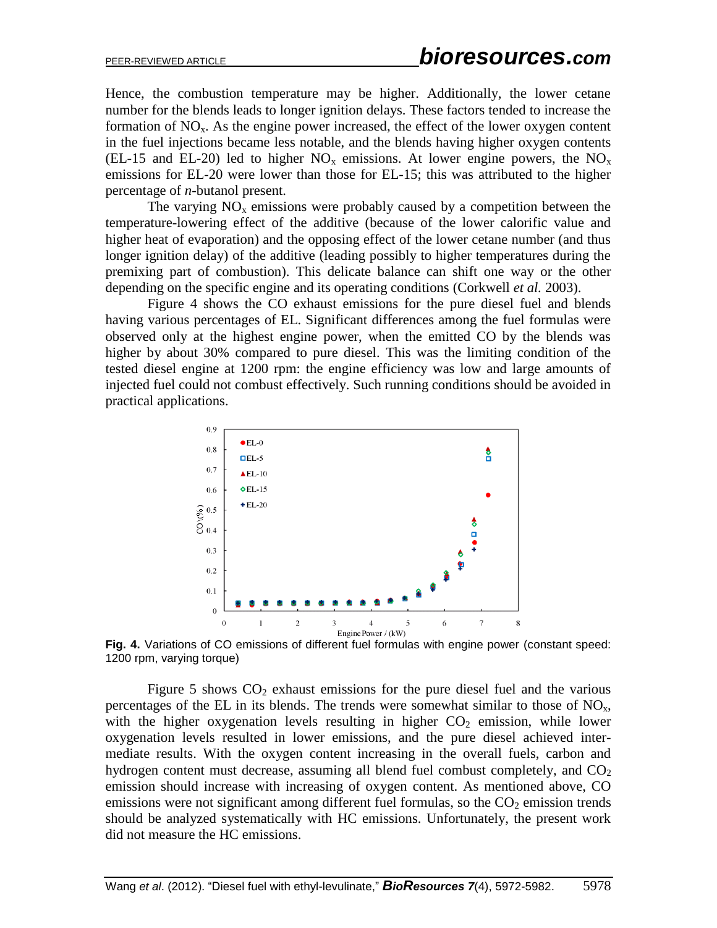Hence, the combustion temperature may be higher. Additionally, the lower cetane number for the blends leads to longer ignition delays. These factors tended to increase the formation of  $NO<sub>x</sub>$ . As the engine power increased, the effect of the lower oxygen content in the fuel injections became less notable, and the blends having higher oxygen contents (EL-15 and EL-20) led to higher  $NO_x$  emissions. At lower engine powers, the  $NO_x$ emissions for EL-20 were lower than those for EL-15; this was attributed to the higher percentage of *n*-butanol present.

The varying  $NO<sub>x</sub>$  emissions were probably caused by a competition between the temperature-lowering effect of the additive (because of the lower calorific value and higher heat of evaporation) and the opposing effect of the lower cetane number (and thus longer ignition delay) of the additive (leading possibly to higher temperatures during the premixing part of combustion). This delicate balance can shift one way or the other depending on the specific engine and its operating conditions (Corkwell *et al.* 2003).

Figure 4 shows the CO exhaust emissions for the pure diesel fuel and blends having various percentages of EL. Significant differences among the fuel formulas were observed only at the highest engine power, when the emitted CO by the blends was higher by about 30% compared to pure diesel. This was the limiting condition of the tested diesel engine at 1200 rpm: the engine efficiency was low and large amounts of injected fuel could not combust effectively. Such running conditions should be avoided in practical applications.



**Fig. 4.** Variations of CO emissions of different fuel formulas with engine power (constant speed: 1200 rpm, varying torque)

Figure 5 shows  $CO<sub>2</sub>$  exhaust emissions for the pure diesel fuel and the various percentages of the EL in its blends. The trends were somewhat similar to those of  $NO<sub>x</sub>$ , with the higher oxygenation levels resulting in higher  $CO<sub>2</sub>$  emission, while lower oxygenation levels resulted in lower emissions, and the pure diesel achieved intermediate results. With the oxygen content increasing in the overall fuels, carbon and hydrogen content must decrease, assuming all blend fuel combust completely, and  $CO<sub>2</sub>$ emission should increase with increasing of oxygen content. As mentioned above, CO emissions were not significant among different fuel formulas, so the  $CO<sub>2</sub>$  emission trends should be analyzed systematically with HC emissions. Unfortunately, the present work did not measure the HC emissions.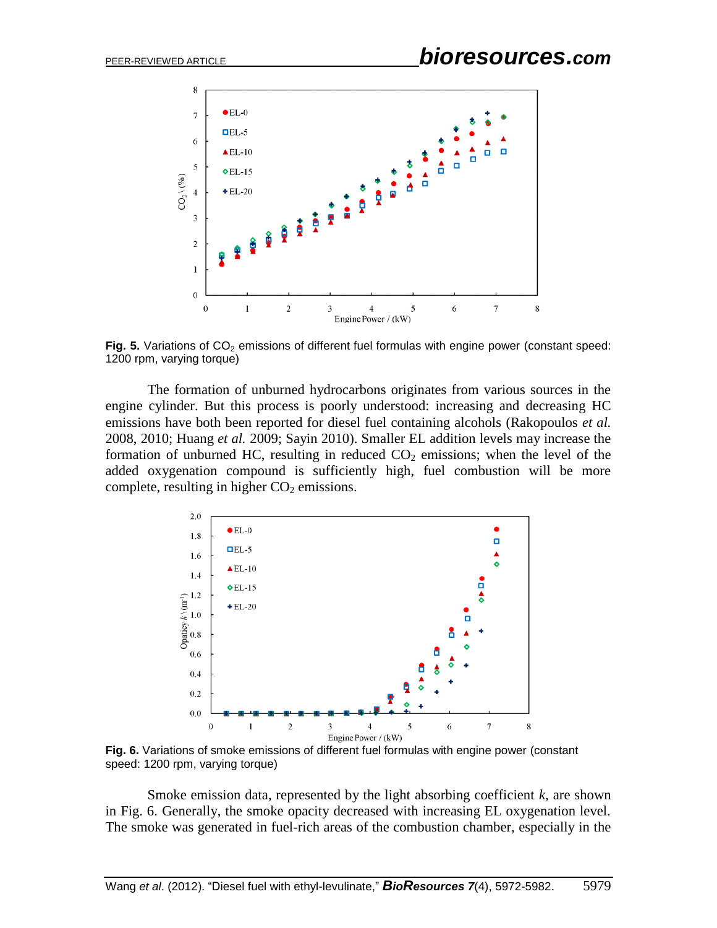

Fig. 5. Variations of CO<sub>2</sub> emissions of different fuel formulas with engine power (constant speed: 1200 rpm, varying torque)

The formation of unburned hydrocarbons originates from various sources in the engine cylinder. But this process is poorly understood: increasing and decreasing HC emissions have both been reported for diesel fuel containing alcohols (Rakopoulos *et al.* 2008, 2010; Huang *et al.* 2009; Sayin 2010). Smaller EL addition levels may increase the formation of unburned HC, resulting in reduced  $CO<sub>2</sub>$  emissions; when the level of the added oxygenation compound is sufficiently high, fuel combustion will be more complete, resulting in higher  $CO<sub>2</sub>$  emissions.



**Fig. 6.** Variations of smoke emissions of different fuel formulas with engine power (constant speed: 1200 rpm, varying torque)

Smoke emission data, represented by the light absorbing coefficient *k*, are shown in Fig. 6. Generally, the smoke opacity decreased with increasing EL oxygenation level. The smoke was generated in fuel-rich areas of the combustion chamber, especially in the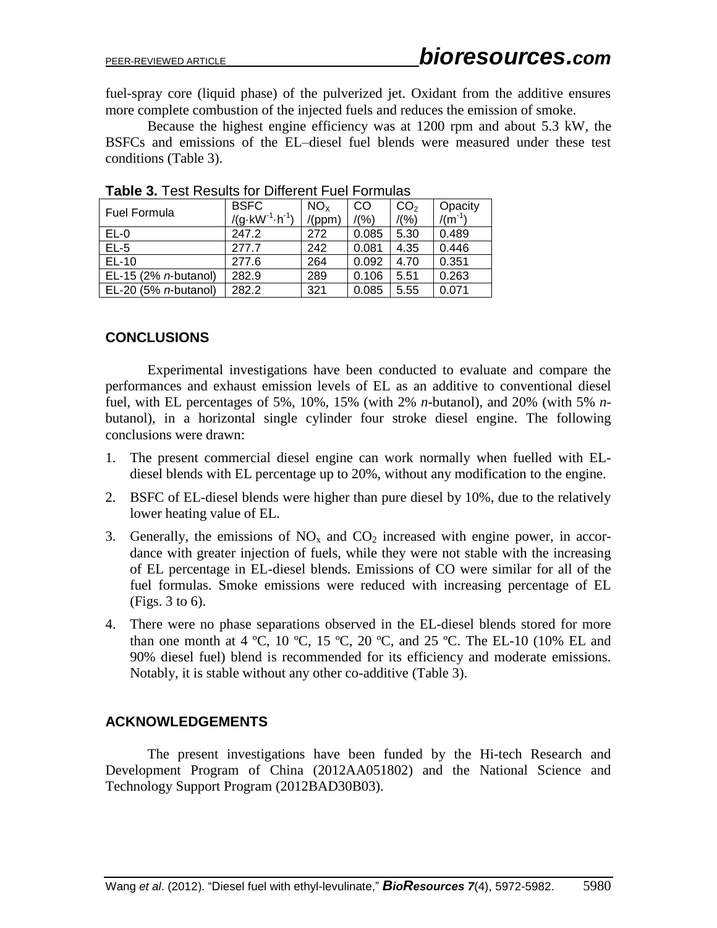fuel-spray core (liquid phase) of the pulverized jet. Oxidant from the additive ensures more complete combustion of the injected fuels and reduces the emission of smoke.

Because the highest engine efficiency was at 1200 rpm and about 5.3 kW, the BSFCs and emissions of the EL–diesel fuel blends were measured under these test conditions (Table 3).

| <b>Fuel Formula</b>          | <b>BSFC</b>                       | NO <sub>x</sub> | CO    | CO <sub>2</sub> | Opacity     |
|------------------------------|-----------------------------------|-----------------|-------|-----------------|-------------|
|                              | $/(g \cdot kW^{-1} \cdot h^{-1})$ | /(ppm)          | /(96) | /(96)           | $/(m^{-1})$ |
| $EL-0$                       | 247.2                             | 272             | 0.085 | 5.30            | 0.489       |
| $EL-5$                       | 277.7                             | 242             | 0.081 | 4.35            | 0.446       |
| $EL-10$                      | 277.6                             | 264             | 0.092 | 4.70            | 0.351       |
| EL-15 (2% <i>n</i> -butanol) | 282.9                             | 289             | 0.106 | 5.51            | 0.263       |
| EL-20 (5% <i>n</i> -butanol) | 282.2                             | 321             | 0.085 | 5.55            | 0.071       |

**Table 3.** Test Results for Different Fuel Formulas

### **CONCLUSIONS**

Experimental investigations have been conducted to evaluate and compare the performances and exhaust emission levels of EL as an additive to conventional diesel fuel, with EL percentages of 5%, 10%, 15% (with 2% *n*-butanol), and 20% (with 5% *n*butanol), in a horizontal single cylinder four stroke diesel engine. The following conclusions were drawn:

- 1. The present commercial diesel engine can work normally when fuelled with ELdiesel blends with EL percentage up to 20%, without any modification to the engine.
- 2. BSFC of EL-diesel blends were higher than pure diesel by 10%, due to the relatively lower heating value of EL.
- 3. Generally, the emissions of  $NO<sub>x</sub>$  and  $CO<sub>2</sub>$  increased with engine power, in accordance with greater injection of fuels, while they were not stable with the increasing of EL percentage in EL-diesel blends. Emissions of CO were similar for all of the fuel formulas. Smoke emissions were reduced with increasing percentage of EL (Figs. 3 to 6).
- 4. There were no phase separations observed in the EL-diesel blends stored for more than one month at 4 °C, 10 °C, 15 °C, 20 °C, and 25 °C. The EL-10 (10% EL and 90% diesel fuel) blend is recommended for its efficiency and moderate emissions. Notably, it is stable without any other co-additive (Table 3).

### **ACKNOWLEDGEMENTS**

The present investigations have been funded by the Hi-tech Research and Development Program of China (2012AA051802) and the National Science and Technology Support Program (2012BAD30B03).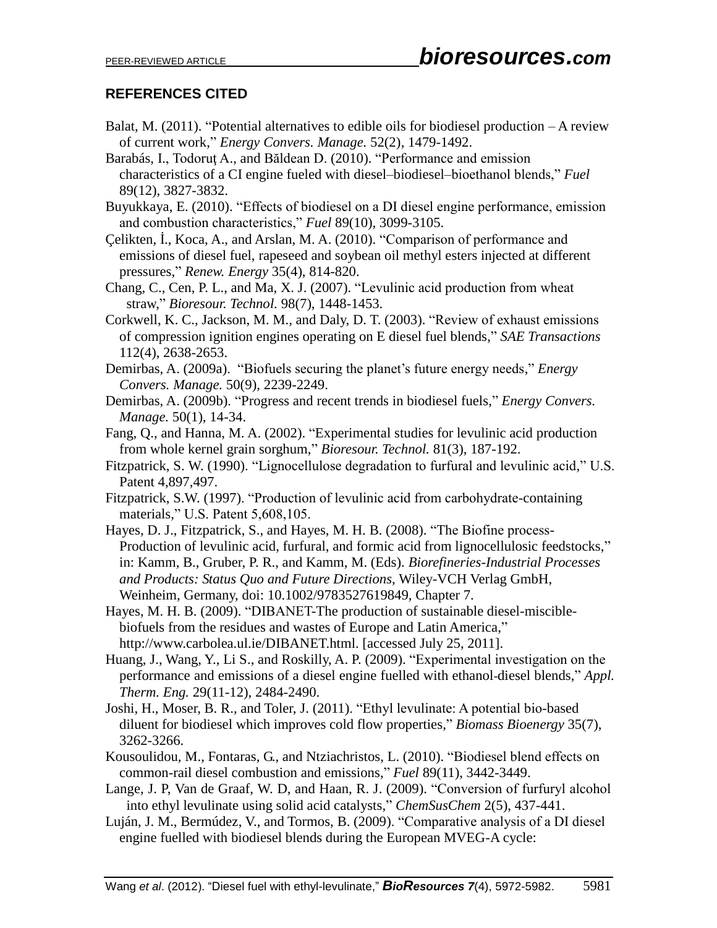## **REFERENCES CITED**

- Balat, M.  $(2011)$ . "Potential alternatives to edible oils for biodiesel production  $-A$  review [of current work,](http://www.sciencedirect.com/science/article/pii/S0196890410004553)" *Energy Convers. Manage.* 52(2), 1479-1492.
- Barabás, I., Todoruţ A., and Băldean D. (2010). "Performance and emission characteristics of a CI engine fueled with diesel–biodiesel–bioethanol blends," *Fuel* 89(12), 3827-3832.
- Buyukkaya, E. (2010). "Effects of biodiesel on a DI diesel engine performance, emission and combustion characteristics," *Fuel* 89(10), 3099-3105.
- Çelikten, İ., Koca, A., and Arslan, M. A. (2010). "Comparison of performance and emissions of diesel fuel, rapeseed and soybean oil methyl esters injected at different pressures," *Renew. Energy* 35(4), 814-820.
- Chang, C., Cen, P. L., and Ma, X. J. (2007). "Levulinic acid production from wheat straw," *Bioresour. Technol.* 98(7), 1448-1453.
- Corkwell, K. C., Jackson, M. M., and Daly, D. T. (2003). "Review of exhaust emissions of compression ignition engines operating on E diesel fuel blends," *SAE Transactions* 112(4), 2638-2653.
- Demirbas, A. (2009a). ["Biofuels securing the planet's future energy needs,](http://www.sciencedirect.com/science/article/pii/S0196890409001769)" *Energy Convers. Manage.* 50(9), 2239-2249.
- Demirbas, A. (2009b). ["Progress and recent trends in biodiesel fuels,](http://www.sciencedirect.com/science/article/pii/S0196890408003294)" *Energy Convers. Manage.* 50(1), 14-34.
- Fang, Q., and Hanna, M. A. (2002). "Experimental studies for levulinic acid production from whole kernel grain sorghum," *Bioresour. Technol.* 81(3), 187-192.
- Fitzpatrick, S. W. (1990). "Lignocellulose degradation to furfural and levulinic acid," U.S. Patent 4,897,497.
- Fitzpatrick, S.W. (1997). "Production of levulinic acid from carbohydrate-containing materials," U.S. Patent 5,608,105.
- Hayes, D. J., Fitzpatrick, S., and Hayes, M. H. B. (2008). "The Biofine process-Production of levulinic acid, furfural, and formic acid from lignocellulosic feedstocks," in: Kamm, B., Gruber, P. R., and Kamm, M. (Eds). *Biorefineries-Industrial Processes and Products: Status Quo and Future Directions*, Wiley-VCH Verlag GmbH, Weinheim, Germany, doi: 10.1002/9783527619849, Chapter 7.
- Hayes, M. H. B. (2009). "DIBANET-The production of sustainable diesel-misciblebiofuels from the residues and wastes of Europe and Latin America," http://www.carbolea.ul.ie/DIBANET.html. [accessed July 25, 2011].
- Huang, J., Wang, Y., Li S., and Roskilly, A. P. (2009). "Experimental investigation on the performance and emissions of a diesel engine fuelled with ethanol-diesel blends," *Appl. Therm. Eng.* 29(11-12), 2484-2490.
- Joshi, H., Moser, B. R., and Toler, J. (2011). "Ethyl levulinate: A potential bio-based diluent for biodiesel which improves cold flow properties," *Biomass Bioenergy* 35(7), 3262-3266.
- Kousoulidou, M., Fontaras, G., and Ntziachristos, L. (2010). "Biodiesel blend effects on common-rail diesel combustion and emissions," *Fuel* 89(11), 3442-3449.
- Lange, J. P, Van de Graaf, W. D, and Haan, R. J. (2009). "Conversion of furfuryl alcohol into ethyl levulinate using solid acid catalysts," *ChemSusChem* 2(5), 437-441.
- Luján, J. M., Bermúdez, V., and Tormos, B. (2009). "Comparative analysis of a DI diesel engine fuelled with biodiesel blends during the European MVEG-A cycle: